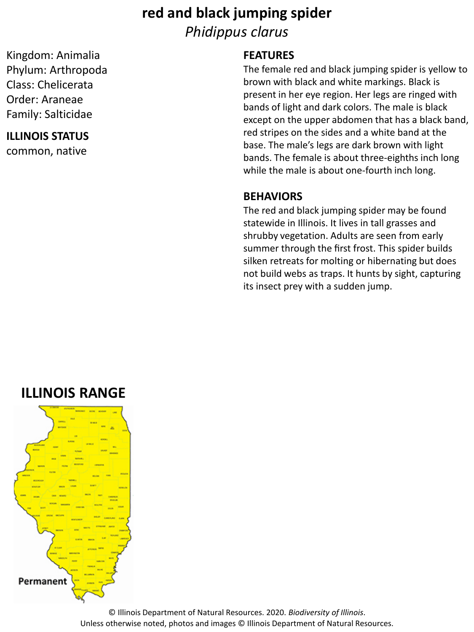# **red and black jumping spider** *Phidippus clarus*

Kingdom: Animalia Phylum: Arthropoda Class: Chelicerata Order: Araneae Family: Salticidae

#### **ILLINOIS STATUS**

common, native

### **FEATURES**

The female red and black jumping spider is yellow to brown with black and white markings. Black is present in her eye region. Her legs are ringed with bands of light and dark colors. The male is black except on the upper abdomen that has a black band, red stripes on the sides and a white band at the base. The male's legs are dark brown with light bands. The female is about three-eighths inch long while the male is about one-fourth inch long.

#### **BEHAVIORS**

The red and black jumping spider may be found statewide in Illinois. It lives in tall grasses and shrubby vegetation. Adults are seen from early summer through the first frost. This spider builds silken retreats for molting or hibernating but does not build webs as traps. It hunts by sight, capturing its insect prey with a sudden jump.

## **ILLINOIS RANGE**



© Illinois Department of Natural Resources. 2020. *Biodiversity of Illinois*. Unless otherwise noted, photos and images © Illinois Department of Natural Resources.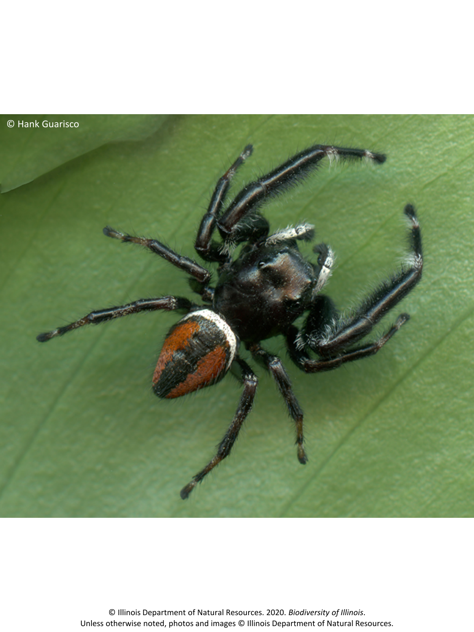

© Illinois Department of Natural Resources. 2020. *Biodiversity of Illinois*. Unless otherwise noted, photos and images © Illinois Department of Natural Resources.